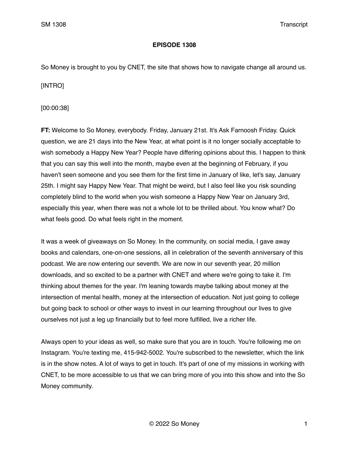## **EPISODE 1308**

So Money is brought to you by CNET, the site that shows how to navigate change all around us.

[INTRO]

[00:00:38]

**FT:** Welcome to So Money, everybody. Friday, January 21st. It's Ask Farnoosh Friday. Quick question, we are 21 days into the New Year, at what point is it no longer socially acceptable to wish somebody a Happy New Year? People have differing opinions about this. I happen to think that you can say this well into the month, maybe even at the beginning of February, if you haven't seen someone and you see them for the first time in January of like, let's say, January 25th. I might say Happy New Year. That might be weird, but I also feel like you risk sounding completely blind to the world when you wish someone a Happy New Year on January 3rd, especially this year, when there was not a whole lot to be thrilled about. You know what? Do what feels good. Do what feels right in the moment.

It was a week of giveaways on So Money. In the community, on social media, I gave away books and calendars, one-on-one sessions, all in celebration of the seventh anniversary of this podcast. We are now entering our seventh. We are now in our seventh year, 20 million downloads, and so excited to be a partner with CNET and where we're going to take it. I'm thinking about themes for the year. I'm leaning towards maybe talking about money at the intersection of mental health, money at the intersection of education. Not just going to college but going back to school or other ways to invest in our learning throughout our lives to give ourselves not just a leg up financially but to feel more fulfilled, live a richer life.

Always open to your ideas as well, so make sure that you are in touch. You're following me on Instagram. You're texting me, 415-942-5002. You're subscribed to the newsletter, which the link is in the show notes. A lot of ways to get in touch. It's part of one of my missions in working with CNET, to be more accessible to us that we can bring more of you into this show and into the So Money community.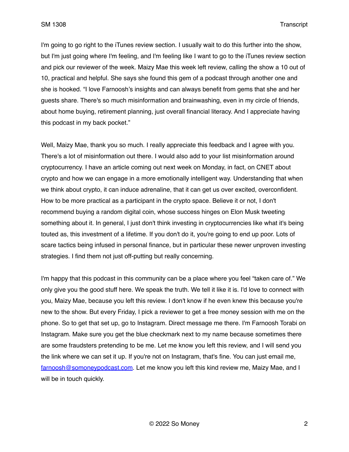I'm going to go right to the iTunes review section. I usually wait to do this further into the show, but I'm just going where I'm feeling, and I'm feeling like I want to go to the iTunes review section and pick our reviewer of the week. Maizy Mae this week left review, calling the show a 10 out of 10, practical and helpful. She says she found this gem of a podcast through another one and she is hooked. "I love Farnoosh's insights and can always benefit from gems that she and her guests share. There's so much misinformation and brainwashing, even in my circle of friends, about home buying, retirement planning, just overall financial literacy. And I appreciate having this podcast in my back pocket."

Well, Maizy Mae, thank you so much. I really appreciate this feedback and I agree with you. There's a lot of misinformation out there. I would also add to your list misinformation around cryptocurrency. I have an article coming out next week on Monday, in fact, on CNET about crypto and how we can engage in a more emotionally intelligent way. Understanding that when we think about crypto, it can induce adrenaline, that it can get us over excited, overconfident. How to be more practical as a participant in the crypto space. Believe it or not, I don't recommend buying a random digital coin, whose success hinges on Elon Musk tweeting something about it. In general, I just don't think investing in cryptocurrencies like what it's being touted as, this investment of a lifetime. If you don't do it, you're going to end up poor. Lots of scare tactics being infused in personal finance, but in particular these newer unproven investing strategies. I find them not just off-putting but really concerning.

I'm happy that this podcast in this community can be a place where you feel "taken care of." We only give you the good stuff here. We speak the truth. We tell it like it is. I'd love to connect with you, Maizy Mae, because you left this review. I don't know if he even knew this because you're new to the show. But every Friday, I pick a reviewer to get a free money session with me on the phone. So to get that set up, go to Instagram. Direct message me there. I'm Farnoosh Torabi on Instagram. Make sure you get the blue checkmark next to my name because sometimes there are some fraudsters pretending to be me. Let me know you left this review, and I will send you the link where we can set it up. If you're not on Instagram, that's fine. You can just email me, [farnoosh@somoneypodcast.com.](mailto:farnoosh@somoneypodcast.com) Let me know you left this kind review me, Maizy Mae, and I will be in touch quickly.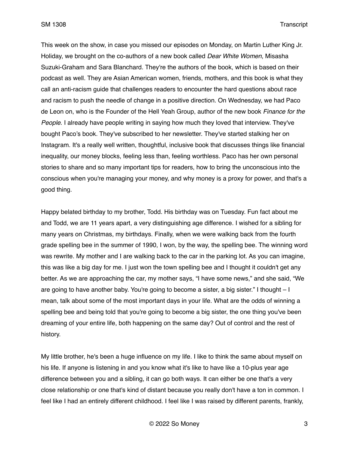This week on the show, in case you missed our episodes on Monday, on Martin Luther King Jr. Holiday, we brought on the co-authors of a new book called *Dear White Women*, Misasha Suzuki-Graham and Sara Blanchard. They're the authors of the book, which is based on their podcast as well. They are Asian American women, friends, mothers, and this book is what they call an anti-racism guide that challenges readers to encounter the hard questions about race and racism to push the needle of change in a positive direction. On Wednesday, we had Paco de Leon on, who is the Founder of the Hell Yeah Group, author of the new book *Finance for the People*. I already have people writing in saying how much they loved that interview. They've bought Paco's book. They've subscribed to her newsletter. They've started stalking her on Instagram. It's a really well written, thoughtful, inclusive book that discusses things like financial inequality, our money blocks, feeling less than, feeling worthless. Paco has her own personal stories to share and so many important tips for readers, how to bring the unconscious into the conscious when you're managing your money, and why money is a proxy for power, and that's a good thing.

Happy belated birthday to my brother, Todd. His birthday was on Tuesday. Fun fact about me and Todd, we are 11 years apart, a very distinguishing age difference. I wished for a sibling for many years on Christmas, my birthdays. Finally, when we were walking back from the fourth grade spelling bee in the summer of 1990, I won, by the way, the spelling bee. The winning word was rewrite. My mother and I are walking back to the car in the parking lot. As you can imagine, this was like a big day for me. I just won the town spelling bee and I thought it couldn't get any better. As we are approaching the car, my mother says, "I have some news," and she said, "We are going to have another baby. You're going to become a sister, a big sister." I thought  $-1$ mean, talk about some of the most important days in your life. What are the odds of winning a spelling bee and being told that you're going to become a big sister, the one thing you've been dreaming of your entire life, both happening on the same day? Out of control and the rest of history.

My little brother, he's been a huge influence on my life. I like to think the same about myself on his life. If anyone is listening in and you know what it's like to have like a 10-plus year age difference between you and a sibling, it can go both ways. It can either be one that's a very close relationship or one that's kind of distant because you really don't have a ton in common. I feel like I had an entirely different childhood. I feel like I was raised by different parents, frankly,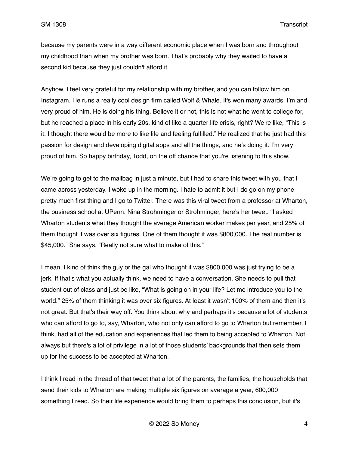because my parents were in a way different economic place when I was born and throughout my childhood than when my brother was born. That's probably why they waited to have a second kid because they just couldn't afford it.

Anyhow, I feel very grateful for my relationship with my brother, and you can follow him on Instagram. He runs a really cool design firm called Wolf & Whale. It's won many awards. I'm and very proud of him. He is doing his thing. Believe it or not, this is not what he went to college for, but he reached a place in his early 20s, kind of like a quarter life crisis, right? We're like, "This is it. I thought there would be more to like life and feeling fulfilled." He realized that he just had this passion for design and developing digital apps and all the things, and he's doing it. I'm very proud of him. So happy birthday, Todd, on the off chance that you're listening to this show.

We're going to get to the mailbag in just a minute, but I had to share this tweet with you that I came across yesterday. I woke up in the morning. I hate to admit it but I do go on my phone pretty much first thing and I go to Twitter. There was this viral tweet from a professor at Wharton, the business school at UPenn. Nina Strohminger or Strohminger, here's her tweet. "I asked Wharton students what they thought the average American worker makes per year, and 25% of them thought it was over six figures. One of them thought it was \$800,000. The real number is \$45,000." She says, "Really not sure what to make of this."

I mean, I kind of think the guy or the gal who thought it was \$800,000 was just trying to be a jerk. If that's what you actually think, we need to have a conversation. She needs to pull that student out of class and just be like, "What is going on in your life? Let me introduce you to the world." 25% of them thinking it was over six figures. At least it wasn't 100% of them and then it's not great. But that's their way off. You think about why and perhaps it's because a lot of students who can afford to go to, say, Wharton, who not only can afford to go to Wharton but remember, I think, had all of the education and experiences that led them to being accepted to Wharton. Not always but there's a lot of privilege in a lot of those students' backgrounds that then sets them up for the success to be accepted at Wharton.

I think I read in the thread of that tweet that a lot of the parents, the families, the households that send their kids to Wharton are making multiple six figures on average a year, 600,000 something I read. So their life experience would bring them to perhaps this conclusion, but it's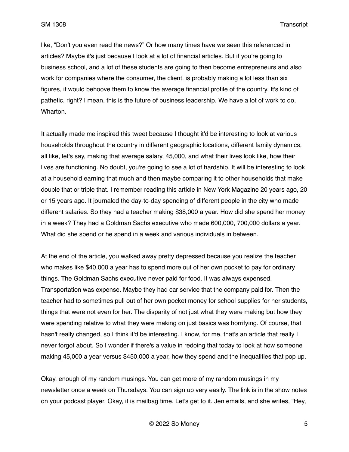like, "Don't you even read the news?" Or how many times have we seen this referenced in articles? Maybe it's just because I look at a lot of financial articles. But if you're going to business school, and a lot of these students are going to then become entrepreneurs and also work for companies where the consumer, the client, is probably making a lot less than six figures, it would behoove them to know the average financial profile of the country. It's kind of pathetic, right? I mean, this is the future of business leadership. We have a lot of work to do, Wharton.

It actually made me inspired this tweet because I thought it'd be interesting to look at various households throughout the country in different geographic locations, different family dynamics, all like, let's say, making that average salary, 45,000, and what their lives look like, how their lives are functioning. No doubt, you're going to see a lot of hardship. It will be interesting to look at a household earning that much and then maybe comparing it to other households that make double that or triple that. I remember reading this article in New York Magazine 20 years ago, 20 or 15 years ago. It journaled the day-to-day spending of different people in the city who made different salaries. So they had a teacher making \$38,000 a year. How did she spend her money in a week? They had a Goldman Sachs executive who made 600,000, 700,000 dollars a year. What did she spend or he spend in a week and various individuals in between.

At the end of the article, you walked away pretty depressed because you realize the teacher who makes like \$40,000 a year has to spend more out of her own pocket to pay for ordinary things. The Goldman Sachs executive never paid for food. It was always expensed. Transportation was expense. Maybe they had car service that the company paid for. Then the teacher had to sometimes pull out of her own pocket money for school supplies for her students, things that were not even for her. The disparity of not just what they were making but how they were spending relative to what they were making on just basics was horrifying. Of course, that hasn't really changed, so I think it'd be interesting. I know, for me, that's an article that really I never forgot about. So I wonder if there's a value in redoing that today to look at how someone making 45,000 a year versus \$450,000 a year, how they spend and the inequalities that pop up.

Okay, enough of my random musings. You can get more of my random musings in my newsletter once a week on Thursdays. You can sign up very easily. The link is in the show notes on your podcast player. Okay, it is mailbag time. Let's get to it. Jen emails, and she writes, "Hey,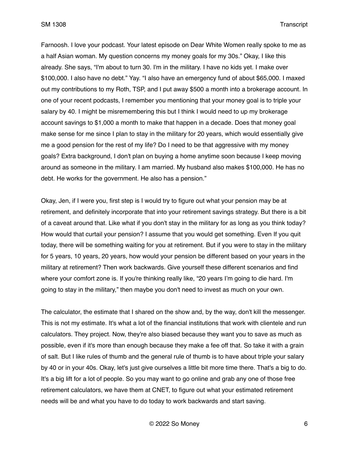Farnoosh. I love your podcast. Your latest episode on Dear White Women really spoke to me as a half Asian woman. My question concerns my money goals for my 30s." Okay, I like this already. She says, "I'm about to turn 30. I'm in the military. I have no kids yet. I make over \$100,000. I also have no debt." Yay. "I also have an emergency fund of about \$65,000. I maxed out my contributions to my Roth, TSP, and I put away \$500 a month into a brokerage account. In one of your recent podcasts, I remember you mentioning that your money goal is to triple your salary by 40. I might be misremembering this but I think I would need to up my brokerage account savings to \$1,000 a month to make that happen in a decade. Does that money goal make sense for me since I plan to stay in the military for 20 years, which would essentially give me a good pension for the rest of my life? Do I need to be that aggressive with my money goals? Extra background, I don't plan on buying a home anytime soon because I keep moving around as someone in the military. I am married. My husband also makes \$100,000. He has no debt. He works for the government. He also has a pension."

Okay, Jen, if I were you, first step is I would try to figure out what your pension may be at retirement, and definitely incorporate that into your retirement savings strategy. But there is a bit of a caveat around that. Like what if you don't stay in the military for as long as you think today? How would that curtail your pension? I assume that you would get something. Even If you quit today, there will be something waiting for you at retirement. But if you were to stay in the military for 5 years, 10 years, 20 years, how would your pension be different based on your years in the military at retirement? Then work backwards. Give yourself these different scenarios and find where your comfort zone is. If you're thinking really like, "20 years I'm going to die hard. I'm going to stay in the military," then maybe you don't need to invest as much on your own.

The calculator, the estimate that I shared on the show and, by the way, don't kill the messenger. This is not my estimate. It's what a lot of the financial institutions that work with clientele and run calculators. They project. Now, they're also biased because they want you to save as much as possible, even if it's more than enough because they make a fee off that. So take it with a grain of salt. But I like rules of thumb and the general rule of thumb is to have about triple your salary by 40 or in your 40s. Okay, let's just give ourselves a little bit more time there. That's a big to do. It's a big lift for a lot of people. So you may want to go online and grab any one of those free retirement calculators, we have them at CNET, to figure out what your estimated retirement needs will be and what you have to do today to work backwards and start saving.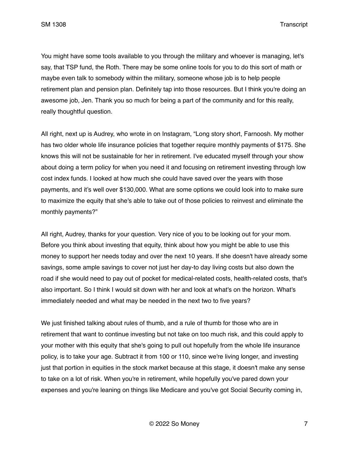You might have some tools available to you through the military and whoever is managing, let's say, that TSP fund, the Roth. There may be some online tools for you to do this sort of math or maybe even talk to somebody within the military, someone whose job is to help people retirement plan and pension plan. Definitely tap into those resources. But I think you're doing an awesome job, Jen. Thank you so much for being a part of the community and for this really, really thoughtful question.

All right, next up is Audrey, who wrote in on Instagram, "Long story short, Farnoosh. My mother has two older whole life insurance policies that together require monthly payments of \$175. She knows this will not be sustainable for her in retirement. I've educated myself through your show about doing a term policy for when you need it and focusing on retirement investing through low cost index funds. I looked at how much she could have saved over the years with those payments, and it's well over \$130,000. What are some options we could look into to make sure to maximize the equity that she's able to take out of those policies to reinvest and eliminate the monthly payments?"

All right, Audrey, thanks for your question. Very nice of you to be looking out for your mom. Before you think about investing that equity, think about how you might be able to use this money to support her needs today and over the next 10 years. If she doesn't have already some savings, some ample savings to cover not just her day-to day living costs but also down the road if she would need to pay out of pocket for medical-related costs, health-related costs, that's also important. So I think I would sit down with her and look at what's on the horizon. What's immediately needed and what may be needed in the next two to five years?

We just finished talking about rules of thumb, and a rule of thumb for those who are in retirement that want to continue investing but not take on too much risk, and this could apply to your mother with this equity that she's going to pull out hopefully from the whole life insurance policy, is to take your age. Subtract it from 100 or 110, since we're living longer, and investing just that portion in equities in the stock market because at this stage, it doesn't make any sense to take on a lot of risk. When you're in retirement, while hopefully you've pared down your expenses and you're leaning on things like Medicare and you've got Social Security coming in,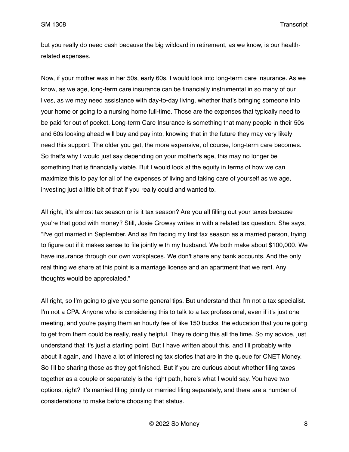but you really do need cash because the big wildcard in retirement, as we know, is our healthrelated expenses.

Now, if your mother was in her 50s, early 60s, I would look into long-term care insurance. As we know, as we age, long-term care insurance can be financially instrumental in so many of our lives, as we may need assistance with day-to-day living, whether that's bringing someone into your home or going to a nursing home full-time. Those are the expenses that typically need to be paid for out of pocket. Long-term Care Insurance is something that many people in their 50s and 60s looking ahead will buy and pay into, knowing that in the future they may very likely need this support. The older you get, the more expensive, of course, long-term care becomes. So that's why I would just say depending on your mother's age, this may no longer be something that is financially viable. But I would look at the equity in terms of how we can maximize this to pay for all of the expenses of living and taking care of yourself as we age, investing just a little bit of that if you really could and wanted to.

All right, it's almost tax season or is it tax season? Are you all filling out your taxes because you're that good with money? Still, Josie Growsy writes in with a related tax question. She says, "I've got married in September. And as I'm facing my first tax season as a married person, trying to figure out if it makes sense to file jointly with my husband. We both make about \$100,000. We have insurance through our own workplaces. We don't share any bank accounts. And the only real thing we share at this point is a marriage license and an apartment that we rent. Any thoughts would be appreciated."

All right, so I'm going to give you some general tips. But understand that I'm not a tax specialist. I'm not a CPA. Anyone who is considering this to talk to a tax professional, even if it's just one meeting, and you're paying them an hourly fee of like 150 bucks, the education that you're going to get from them could be really, really helpful. They're doing this all the time. So my advice, just understand that it's just a starting point. But I have written about this, and I'll probably write about it again, and I have a lot of interesting tax stories that are in the queue for CNET Money. So I'll be sharing those as they get finished. But if you are curious about whether filing taxes together as a couple or separately is the right path, here's what I would say. You have two options, right? It's married filing jointly or married filing separately, and there are a number of considerations to make before choosing that status.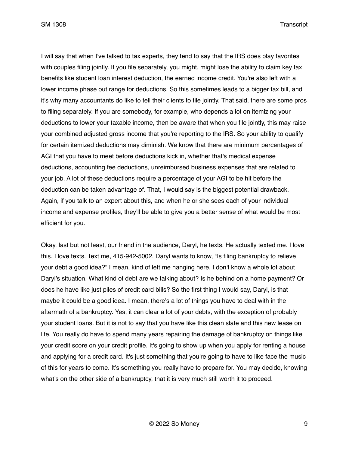I will say that when I've talked to tax experts, they tend to say that the IRS does play favorites with couples filing jointly. If you file separately, you might, might lose the ability to claim key tax benefits like student loan interest deduction, the earned income credit. You're also left with a lower income phase out range for deductions. So this sometimes leads to a bigger tax bill, and it's why many accountants do like to tell their clients to file jointly. That said, there are some pros to filing separately. If you are somebody, for example, who depends a lot on itemizing your deductions to lower your taxable income, then be aware that when you file jointly, this may raise your combined adjusted gross income that you're reporting to the IRS. So your ability to qualify for certain itemized deductions may diminish. We know that there are minimum percentages of AGI that you have to meet before deductions kick in, whether that's medical expense deductions, accounting fee deductions, unreimbursed business expenses that are related to your job. A lot of these deductions require a percentage of your AGI to be hit before the deduction can be taken advantage of. That, I would say is the biggest potential drawback. Again, if you talk to an expert about this, and when he or she sees each of your individual income and expense profiles, they'll be able to give you a better sense of what would be most efficient for you.

Okay, last but not least, our friend in the audience, Daryl, he texts. He actually texted me. I love this. I love texts. Text me, 415-942-5002. Daryl wants to know, "Is filing bankruptcy to relieve your debt a good idea?" I mean, kind of left me hanging here. I don't know a whole lot about Daryl's situation. What kind of debt are we talking about? Is he behind on a home payment? Or does he have like just piles of credit card bills? So the first thing I would say, Daryl, is that maybe it could be a good idea. I mean, there's a lot of things you have to deal with in the aftermath of a bankruptcy. Yes, it can clear a lot of your debts, with the exception of probably your student loans. But it is not to say that you have like this clean slate and this new lease on life. You really do have to spend many years repairing the damage of bankruptcy on things like your credit score on your credit profile. It's going to show up when you apply for renting a house and applying for a credit card. It's just something that you're going to have to like face the music of this for years to come. It's something you really have to prepare for. You may decide, knowing what's on the other side of a bankruptcy, that it is very much still worth it to proceed.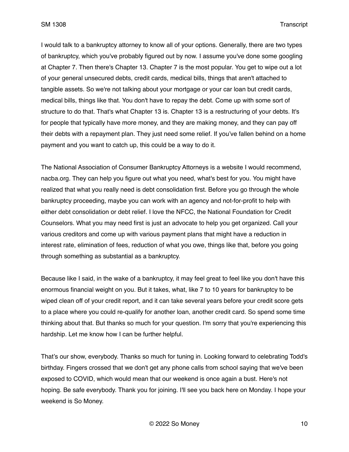I would talk to a bankruptcy attorney to know all of your options. Generally, there are two types of bankruptcy, which you've probably figured out by now. I assume you've done some googling at Chapter 7. Then there's Chapter 13. Chapter 7 is the most popular. You get to wipe out a lot of your general unsecured debts, credit cards, medical bills, things that aren't attached to tangible assets. So we're not talking about your mortgage or your car loan but credit cards, medical bills, things like that. You don't have to repay the debt. Come up with some sort of structure to do that. That's what Chapter 13 is. Chapter 13 is a restructuring of your debts. It's for people that typically have more money, and they are making money, and they can pay off their debts with a repayment plan. They just need some relief. If you've fallen behind on a home payment and you want to catch up, this could be a way to do it.

The National Association of Consumer Bankruptcy Attorneys is a website I would recommend, nacba.org. They can help you figure out what you need, what's best for you. You might have realized that what you really need is debt consolidation first. Before you go through the whole bankruptcy proceeding, maybe you can work with an agency and not-for-profit to help with either debt consolidation or debt relief. I love the NFCC, the National Foundation for Credit Counselors. What you may need first is just an advocate to help you get organized. Call your various creditors and come up with various payment plans that might have a reduction in interest rate, elimination of fees, reduction of what you owe, things like that, before you going through something as substantial as a bankruptcy.

Because like I said, in the wake of a bankruptcy, it may feel great to feel like you don't have this enormous financial weight on you. But it takes, what, like 7 to 10 years for bankruptcy to be wiped clean off of your credit report, and it can take several years before your credit score gets to a place where you could re-qualify for another loan, another credit card. So spend some time thinking about that. But thanks so much for your question. I'm sorry that you're experiencing this hardship. Let me know how I can be further helpful.

That's our show, everybody. Thanks so much for tuning in. Looking forward to celebrating Todd's birthday. Fingers crossed that we don't get any phone calls from school saying that we've been exposed to COVID, which would mean that our weekend is once again a bust. Here's not hoping. Be safe everybody. Thank you for joining. I'll see you back here on Monday. I hope your weekend is So Money.